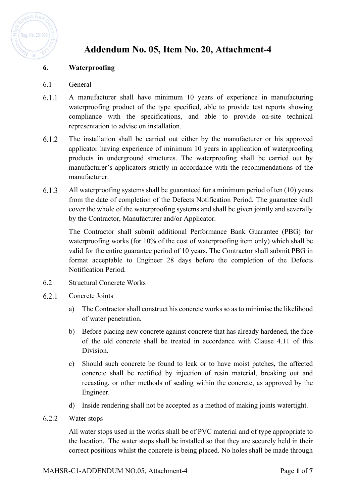

## **Addendum No. 05, Item No. 20, Attachment-4**

## **6. Waterproofing**

- 6.1 General
- $6.1.1$ A manufacturer shall have minimum 10 years of experience in manufacturing waterproofing product of the type specified, able to provide test reports showing compliance with the specifications, and able to provide on-site technical representation to advise on installation.
- $6.1.2$ The installation shall be carried out either by the manufacturer or his approved applicator having experience of minimum 10 years in application of waterproofing products in underground structures. The waterproofing shall be carried out by manufacturer's applicators strictly in accordance with the recommendations of the manufacturer.
- 6.1.3 All waterproofing systems shall be guaranteed for a minimum period of ten (10) years from the date of completion of the Defects Notification Period. The guarantee shall cover the whole of the waterproofing systems and shall be given jointly and severally by the Contractor, Manufacturer and/or Applicator.

The Contractor shall submit additional Performance Bank Guarantee (PBG) for waterproofing works (for 10% of the cost of waterproofing item only) which shall be valid for the entire guarantee period of 10 years. The Contractor shall submit PBG in format acceptable to Engineer 28 days before the completion of the Defects Notification Period.

- 6.2 Structural Concrete Works
- 6.2.1 Concrete Joints
	- a) The Contractor shall construct his concrete works so as to minimise the likelihood of water penetration.
	- b) Before placing new concrete against concrete that has already hardened, the face of the old concrete shall be treated in accordance with Clause 4.11 of this Division.
	- c) Should such concrete be found to leak or to have moist patches, the affected concrete shall be rectified by injection of resin material, breaking out and recasting, or other methods of sealing within the concrete, as approved by the Engineer.
	- d) Inside rendering shall not be accepted as a method of making joints watertight.
- $6.2.2$ Water stops

All water stops used in the works shall be of PVC material and of type appropriate to the location. The water stops shall be installed so that they are securely held in their correct positions whilst the concrete is being placed. No holes shall be made through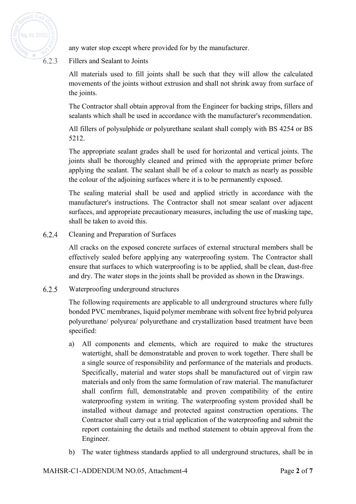

any water stop except where provided for by the manufacturer.

Fillers and Sealant to Joints

All materials used to fill joints shall be such that they will allow the calculated movements of the joints without extrusion and shall not shrink away from surface of the joints.

The Contractor shall obtain approval from the Engineer for backing strips, fillers and sealants which shall be used in accordance with the manufacturer's recommendation.

All fillers of polysulphide or polyurethane sealant shall comply with BS 4254 or BS 5212.

The appropriate sealant grades shall be used for horizontal and vertical joints. The joints shall be thoroughly cleaned and primed with the appropriate primer before applying the sealant. The sealant shall be of a colour to match as nearly as possible the colour of the adjoining surfaces where it is to be permanently exposed.

The sealing material shall be used and applied strictly in accordance with the manufacturer's instructions. The Contractor shall not smear sealant over adjacent surfaces, and appropriate precautionary measures, including the use of masking tape, shall be taken to avoid this.

6.2.4 Cleaning and Preparation of Surfaces

> All cracks on the exposed concrete surfaces of external structural members shall be effectively sealed before applying any waterproofing system. The Contractor shall ensure that surfaces to which waterproofing is to be applied, shall be clean, dust-free and dry. The water stops in the joints shall be provided as shown in the Drawings.

6.2.5 Waterproofing underground structures

> The following requirements are applicable to all underground structures where fully bonded PVC membranes, liquid polymer membrane with solvent free hybrid polyurea polyurethane/ polyurea/ polyurethane and crystallization based treatment have been specified:

- a) All components and elements, which are required to make the structures watertight, shall be demonstratable and proven to work together. There shall be a single source of responsibility and performance of the materials and products. Specifically, material and water stops shall be manufactured out of virgin raw materials and only from the same formulation of raw material. The manufacturer shall confirm full, demonstratable and proven compatibility of the entire waterproofing system in writing. The waterproofing system provided shall be installed without damage and protected against construction operations. The Contractor shall carry out a trial application of the waterproofing and submit the report containing the details and method statement to obtain approval from the Engineer.
- b) The water tightness standards applied to all underground structures, shall be in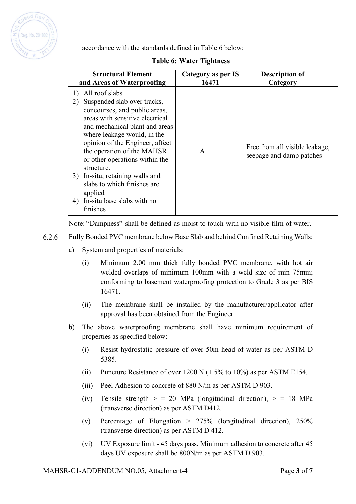

accordance with the standards defined in Table 6 below:

## **Table 6: Water Tightness**

| <b>Structural Element</b>                                                                                                                                                                                                                                                                                                                                                                                                                       | Category as per IS | <b>Description of</b>                                      |
|-------------------------------------------------------------------------------------------------------------------------------------------------------------------------------------------------------------------------------------------------------------------------------------------------------------------------------------------------------------------------------------------------------------------------------------------------|--------------------|------------------------------------------------------------|
| and Areas of Waterproofing                                                                                                                                                                                                                                                                                                                                                                                                                      | 16471              | Category                                                   |
| All roof slabs<br>1)<br>Suspended slab over tracks,<br>2)<br>concourses, and public areas,<br>areas with sensitive electrical<br>and mechanical plant and areas<br>where leakage would, in the<br>opinion of the Engineer, affect<br>the operation of the MAHSR<br>or other operations within the<br>structure.<br>In-situ, retaining walls and<br>3)<br>slabs to which finishes are<br>applied<br>In-situ base slabs with no<br>4)<br>finishes | $\mathsf{A}$       | Free from all visible leakage,<br>seepage and damp patches |

Note: "Dampness" shall be defined as moist to touch with no visible film of water.

- 6.2.6 Fully Bonded PVC membrane below Base Slab and behind Confined Retaining Walls:
	- a) System and properties of materials:
		- (i) Minimum 2.00 mm thick fully bonded PVC membrane, with hot air welded overlaps of minimum 100mm with a weld size of min 75mm; conforming to basement waterproofing protection to Grade 3 as per BIS 16471.
		- (ii) The membrane shall be installed by the manufacturer/applicator after approval has been obtained from the Engineer.
	- b) The above waterproofing membrane shall have minimum requirement of properties as specified below:
		- (i) Resist hydrostatic pressure of over 50m head of water as per ASTM D 5385.
		- (ii) Puncture Resistance of over  $1200 \text{ N}$  (+5% to 10%) as per ASTM E154.
		- (iii) Peel Adhesion to concrete of 880 N/m as per ASTM D 903.
		- (iv) Tensile strength  $>$  = 20 MPa (longitudinal direction),  $>$  = 18 MPa (transverse direction) as per ASTM D412.
		- (v) Percentage of Elongation > 275% (longitudinal direction), 250% (transverse direction) as per ASTM D 412.
		- (vi) UV Exposure limit 45 days pass. Minimum adhesion to concrete after 45 days UV exposure shall be 800N/m as per ASTM D 903.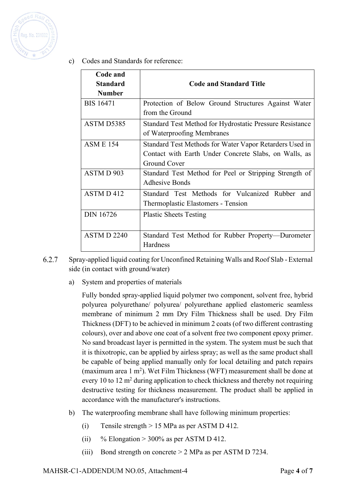

c) Codes and Standards for reference:

| Code and              |                                                          |
|-----------------------|----------------------------------------------------------|
| <b>Standard</b>       | <b>Code and Standard Title</b>                           |
| <b>Number</b>         |                                                          |
| <b>BIS 16471</b>      | Protection of Below Ground Structures Against Water      |
|                       | from the Ground                                          |
| ASTM D5385            | Standard Test Method for Hydrostatic Pressure Resistance |
|                       | of Waterproofing Membranes                               |
| <b>ASM E 154</b>      | Standard Test Methods for Water Vapor Retarders Used in  |
|                       | Contact with Earth Under Concrete Slabs, on Walls, as    |
|                       | Ground Cover                                             |
| ASTMD 903             | Standard Test Method for Peel or Stripping Strength of   |
|                       | <b>Adhesive Bonds</b>                                    |
| ASTM D 412            | Standard Test Methods for Vulcanized Rubber and          |
|                       | Thermoplastic Elastomers - Tension                       |
| <b>DIN 16726</b>      | <b>Plastic Sheets Testing</b>                            |
|                       |                                                          |
| ASTMD <sub>2240</sub> | Standard Test Method for Rubber Property—Durometer       |
|                       | Hardness                                                 |

- 6.2.7 Spray-applied liquid coating for Unconfined Retaining Walls and Roof Slab - External side (in contact with ground/water)
	- a) System and properties of materials

Fully bonded spray-applied liquid polymer two component, solvent free, hybrid polyurea polyurethane/ polyurea/ polyurethane applied elastomeric seamless membrane of minimum 2 mm Dry Film Thickness shall be used. Dry Film Thickness (DFT) to be achieved in minimum 2 coats (of two different contrasting colours), over and above one coat of a solvent free two component epoxy primer. No sand broadcast layer is permitted in the system. The system must be such that it is thixotropic, can be applied by airless spray; as well as the same product shall be capable of being applied manually only for local detailing and patch repairs (maximum area  $1 \text{ m}^2$ ). Wet Film Thickness (WFT) measurement shall be done at every 10 to 12 m<sup>2</sup> during application to check thickness and thereby not requiring destructive testing for thickness measurement. The product shall be applied in accordance with the manufacturer's instructions.

- b) The waterproofing membrane shall have following minimum properties:
	- (i) Tensile strength > 15 MPa as per ASTM D 412.
	- (ii) % Elongation > 300% as per ASTM D 412.
	- (iii) Bond strength on concrete > 2 MPa as per ASTM D 7234.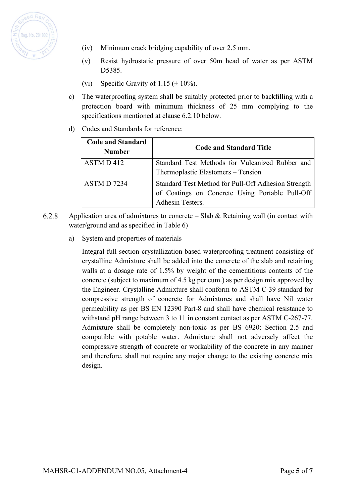

- (iv) Minimum crack bridging capability of over 2.5 mm.
- (v) Resist hydrostatic pressure of over 50m head of water as per ASTM D<sub>5385</sub>.
- (vi) Specific Gravity of 1.15  $(\pm 10\%)$ .
- c) The waterproofing system shall be suitably protected prior to backfilling with a protection board with minimum thickness of 25 mm complying to the specifications mentioned at clause 6.2.10 below.
- d) Codes and Standards for reference:

| <b>Code and Standard</b><br><b>Number</b> | <b>Code and Standard Title</b>                                                                                             |
|-------------------------------------------|----------------------------------------------------------------------------------------------------------------------------|
| ASTM D 412                                | Standard Test Methods for Vulcanized Rubber and<br>Thermoplastic Elastomers – Tension                                      |
| ASTM D 7234                               | Standard Test Method for Pull-Off Adhesion Strength<br>of Coatings on Concrete Using Portable Pull-Off<br>Adhesin Testers. |

- Application area of admixtures to concrete Slab  $\&$  Retaining wall (in contact with 6.2.8 water/ground and as specified in Table 6)
	- a) System and properties of materials

Integral full section crystallization based waterproofing treatment consisting of crystalline Admixture shall be added into the concrete of the slab and retaining walls at a dosage rate of 1.5% by weight of the cementitious contents of the concrete (subject to maximum of 4.5 kg per cum.) as per design mix approved by the Engineer. Crystalline Admixture shall conform to ASTM C-39 standard for compressive strength of concrete for Admixtures and shall have Nil water permeability as per BS EN 12390 Part-8 and shall have chemical resistance to withstand pH range between 3 to 11 in constant contact as per ASTM C-267-77. Admixture shall be completely non-toxic as per BS 6920: Section 2.5 and compatible with potable water. Admixture shall not adversely affect the compressive strength of concrete or workability of the concrete in any manner and therefore, shall not require any major change to the existing concrete mix design.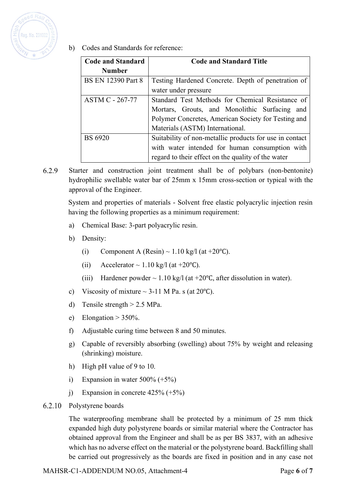

b) Codes and Standards for reference:

| <b>Code and Standard</b>  | <b>Code and Standard Title</b>                          |  |  |
|---------------------------|---------------------------------------------------------|--|--|
| <b>Number</b>             |                                                         |  |  |
| <b>BS EN 12390 Part 8</b> | Testing Hardened Concrete. Depth of penetration of      |  |  |
|                           | water under pressure                                    |  |  |
| <b>ASTM C - 267-77</b>    | Standard Test Methods for Chemical Resistance of        |  |  |
|                           | Mortars, Grouts, and Monolithic Surfacing<br>and        |  |  |
|                           | Polymer Concretes, American Society for Testing and     |  |  |
|                           | Materials (ASTM) International.                         |  |  |
| <b>BS 6920</b>            | Suitability of non-metallic products for use in contact |  |  |
|                           | with water intended for human consumption with          |  |  |
|                           | regard to their effect on the quality of the water      |  |  |

6.2.9 Starter and construction joint treatment shall be of polybars (non-bentonite) hydrophilic swellable water bar of 25mm x 15mm cross-section or typical with the approval of the Engineer.

System and properties of materials - Solvent free elastic polyacrylic injection resin having the following properties as a minimum requirement:

- a) Chemical Base: 3-part polyacrylic resin.
- b) Density:
	- (i) Component A (Resin) ~ 1.10 kg/l (at +20°C).
	- (ii) Accelerator ~ 1.10 kg/l (at +20°C).
	- (iii) Hardener powder  $\sim 1.10$  kg/l (at +20°C, after dissolution in water).
- c) Viscosity of mixture  $\sim$  3-11 M Pa. s (at 20 °C).
- d) Tensile strength > 2.5 MPa.
- e) Elongation  $> 350\%$ .
- f) Adjustable curing time between 8 and 50 minutes.
- g) Capable of reversibly absorbing (swelling) about 75% by weight and releasing (shrinking) moisture.
- h) High pH value of 9 to 10.
- i) Expansion in water  $500\% (+5\%)$
- j) Expansion in concrete  $425\% (+5\%)$
- 6.2.10 Polystyrene boards

The waterproofing membrane shall be protected by a minimum of 25 mm thick expanded high duty polystyrene boards or similar material where the Contractor has obtained approval from the Engineer and shall be as per BS 3837, with an adhesive which has no adverse effect on the material or the polystyrene board. Backfilling shall be carried out progressively as the boards are fixed in position and in any case not